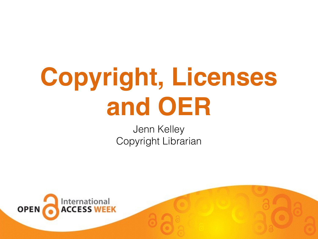### **Copyright, Licenses and OER**

Jenn Kelley Copyright Librarian

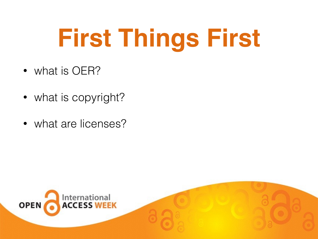### **First Things First**

- what is OER?
- what is copyright?
- what are licenses?

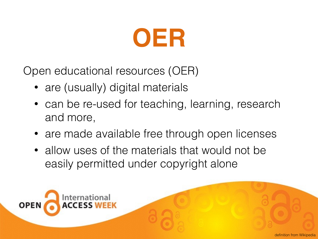

Open educational resources (OER)

- are (usually) digital materials
- can be re-used for teaching, learning, research and more,
- are made available free through open licenses
- allow uses of the materials that would not be easily permitted under copyright alone

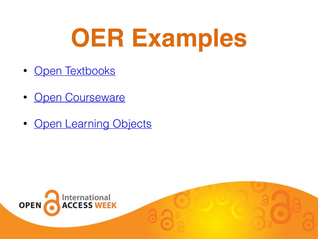### **OER Examples**

- [Open Textbooks](http://www.collegeopentextbooks.org/opentextbookcontent/featured-us-history-first-edition)
- **[Open Courseware](http://ocw.mit.edu/index.htm)**
- [Open Learning Objects](https://www.oercommons.org/game-based-learning/material-type/activities-and-labs/?batch_size=20&sort_by=title&view_mode=summary&f.sublevel=community-college-lower-division)

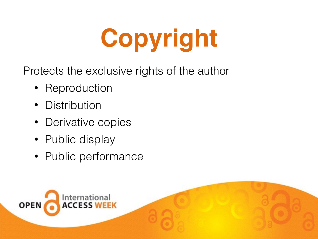# **Copyright**

Protects the exclusive rights of the author

- Reproduction
- Distribution
- Derivative copies
- Public display
- Public performance

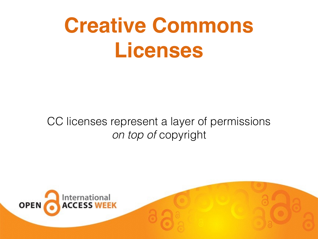### **Creative Commons Licenses**

#### CC licenses represent a layer of permissions *on top of* copyright

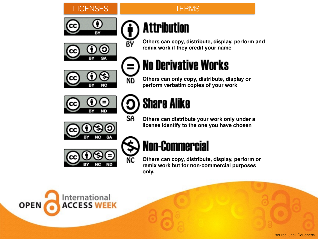









BY

**ND** 

SA

NC

**Others can copy, distribute, display, perform and remix work if they credit your name**

### **No Derivative Works**

**Others can only copy, distribute, display or perform verbatim copies of your work**



#### **Share Alike**

**Others can distribute your work only under a license identify to the one you have chosen**





#### **Non-Commercial**

**Others can copy, distribute, display, perform or remix work but for non-commercial purposes only.**

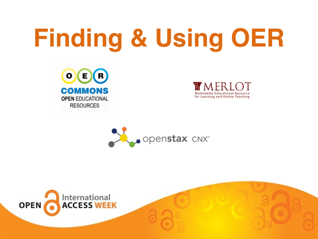## **Finding & Using OER**







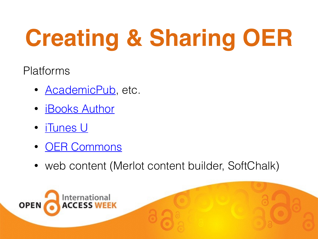## **Creating & Sharing OER**

Platforms

- **[AcademicPub](http://www.academicpub.com/)**, etc.
- [iBooks Author](https://www.apple.com/ibooks-author/)
- [iTunes U](http://www.apple.com)
- **[OER Commons](https://www.oercommons.org/)**
- web content (Merlot content builder, SoftChalk)